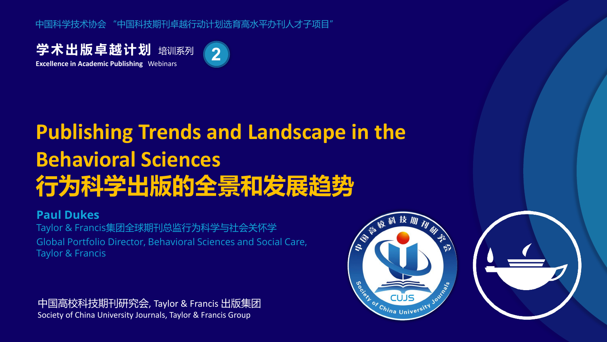中国科学技术协会 "中国科技期刊卓越行动计划选育高水平办刊人才子项目"

学术出版卓越计划 培训系列 **Excellence in Academic Publishing** Webinars



# **Publishing Trends and Landscape in the Behavioral Sciences 行为科学出版的全景和发展趋势**

#### **Paul Dukes**

Taylor & Francis集团全球期刊总监行为科学与社会关怀学 Global Portfolio Director, Behavioral Sciences and Social Care, Taylor & Francis

中国高校科技期刊研究会, Taylor & Francis 出版集团 Society of China University Journals, Taylor & Francis Group

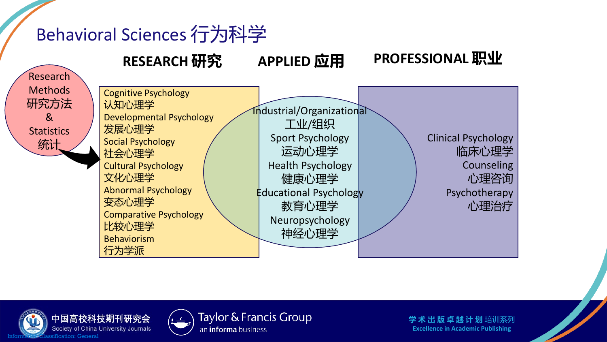## Behavioral Sciences 行为科学

#### **RESEARCH 研究 APPLIED 应用 PROFESSIONAL 职业**







Taylor & Francis Group an *informa* business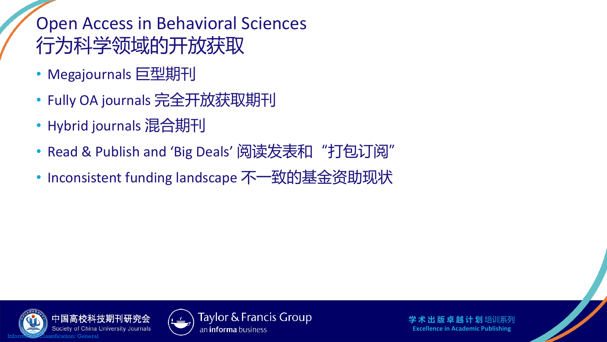#### Open Access in Behavioral Sciences 行为科学领域的开放获取

- Megajournals 巨型期刊
- Fully OA journals 完全开放获取期刊
- Hybrid journals 混合期刊
- Read & Publish and 'Big Deals' 阅读发表和"打包订阅"
- Inconsistent funding landscape 不一致的基金资助现状





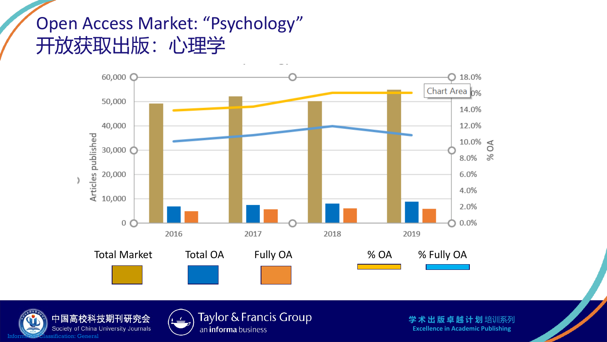#### Open Access Market: "Psychology" 开放获取出版:心理学







Taylor & Francis Group an *informa* business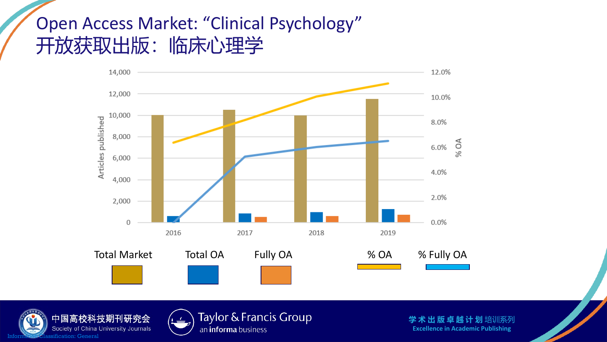#### Open Access Market: "Clinical Psychology" 开放获取出版:临床心理学







Taylor & Francis Group an *informa* business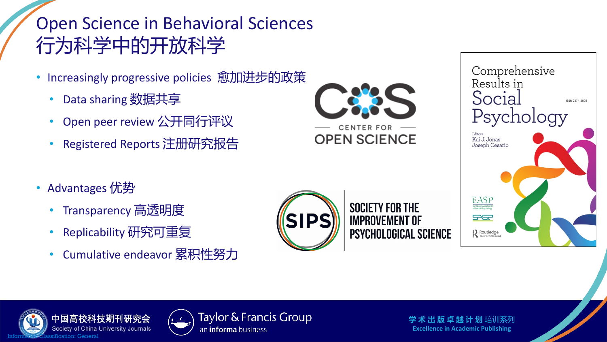## Open Science in Behavioral Sciences 行为科学中的开放科学

- Increasingly progressive policies 愈加进步的政策
	- Data sharing 数据共享
	- Open peer review 公开同行评议
	- Registered Reports 注册研究报告

CENTER FOR **OPEN SCIENCE** 

- Advantages 优势
	- Transparency 高透明度
	- Replicability 研究可重复
	- Cumulative endeavor 累积性努力









Taylor & Francis Group an *informa* business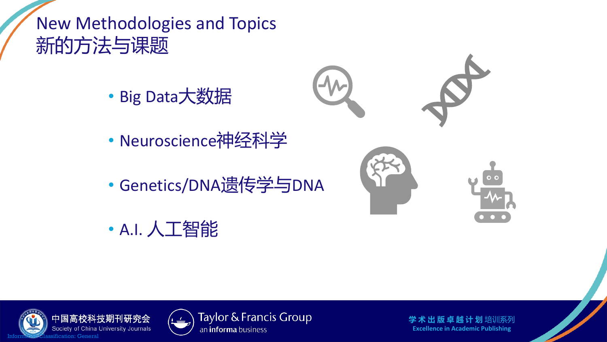#### New Methodologies and Topics 新的方法与课题

• Big Data大数据



- Neuroscience神经科学
- Genetics/DNA遗传学与DNA
- A.I. 人工智能





Taylor & Francis Group an *informa* business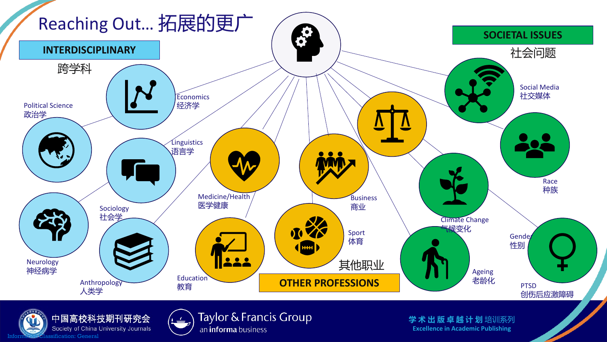

Society of China University Journals Information Classification: General

Taylor & Francis Group an *informa* business